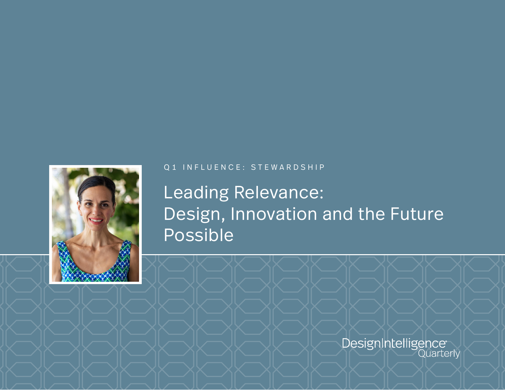

## Q1 INFLUENCE: STEWARDSHIP

## Leading Relevance: Design, Innovation and the Future Possible

DesignIntelligence<br>Quarterly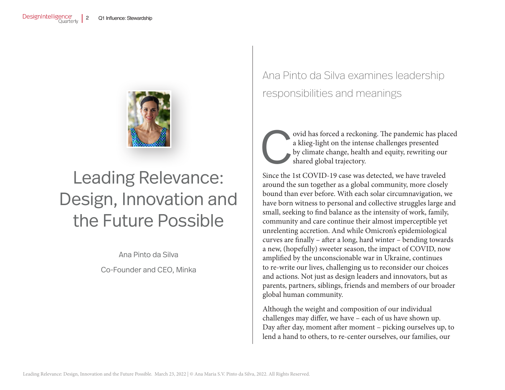

# Leading Relevance: Design, Innovation and the Future Possible

Ana Pinto da Silva

Co-Founder and CEO, Minka

Ana Pinto da Silva examines leadership responsibilities and meanings



ovid has forced a reckoning. The pandemic has placed a klieg-light on the intense challenges presented by climate change, health and equity, rewriting our shared global trajectory.

Since the 1st COVID-19 case was detected, we have traveled around the sun together as a global community, more closely bound than ever before. With each solar circumnavigation, we have born witness to personal and collective struggles large and small, seeking to find balance as the intensity of work, family, community and care continue their almost imperceptible yet unrelenting accretion. And while Omicron's epidemiological curves are finally – after a long, hard winter – bending towards a new, (hopefully) sweeter season, the impact of COVID, now amplified by the unconscionable war in Ukraine, continues to re-write our lives, challenging us to reconsider our choices and actions. Not just as design leaders and innovators, but as parents, partners, siblings, friends and members of our broader global human community.

Although the weight and composition of our individual challenges may differ, we have – each of us have shown up. Day after day, moment after moment – picking ourselves up, to lend a hand to others, to re-center ourselves, our families, our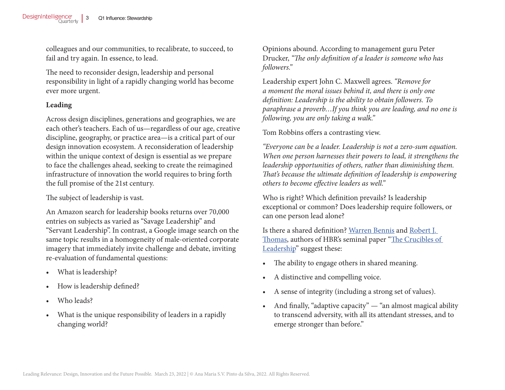colleagues and our communities, to recalibrate, to succeed, to fail and try again. In essence, to lead.

The need to reconsider design, leadership and personal responsibility in light of a rapidly changing world has become ever more urgent.

### **Leading**

Across design disciplines, generations and geographies, we are each other's teachers. Each of us—regardless of our age, creative discipline, geography, or practice area—is a critical part of our design innovation ecosystem. A reconsideration of leadership within the unique context of design is essential as we prepare to face the challenges ahead, seeking to create the reimagined infrastructure of innovation the world requires to bring forth the full promise of the 21st century.

The subject of leadership is vast.

An Amazon search for leadership books returns over 70,000 entries on subjects as varied as "Savage Leadership" and "Servant Leadership". In contrast, a Google image search on the same topic results in a homogeneity of male-oriented corporate imagery that immediately invite challenge and debate, inviting re-evaluation of fundamental questions:

- What is leadership?
- How is leadership defined?
- Who leads?
- What is the unique responsibility of leaders in a rapidly changing world?

Opinions abound. According to management guru Peter Drucker, *"The only definition of a leader is someone who has followers."*

Leadership expert John C. Maxwell agrees. *"Remove for a moment the moral issues behind it, and there is only one definition: Leadership is the ability to obtain followers. To paraphrase a proverb…If you think you are leading, and no one is following, you are only taking a walk."*

Tom Robbins offers a contrasting view.

*"Everyone can be a leader. Leadership is not a zero-sum equation. When one person harnesses their powers to lead, it strengthens the leadership opportunities of others, rather than diminishing them. That's because the ultimate definition of leadership is empowering others to become effective leaders as well."*

Who is right? Which definition prevails? Is leadership exceptional or common? Does leadership require followers, or can one person lead alone?

Is there a shared definition? [Warren Bennis](https://hbr.org/search?term=warren%20bennis) and [Robert J.](https://hbr.org/search?term=robert%20j.%20thomas)  [Thomas,](https://hbr.org/search?term=robert%20j.%20thomas) authors of HBR's seminal paper ["The Crucibles of](https://hbr.org/2002/09/crucibles-of-leadership)  [Leadership"](https://hbr.org/2002/09/crucibles-of-leadership) suggest these:

- The ability to engage others in shared meaning.
- A distinctive and compelling voice.
- A sense of integrity (including a strong set of values).
- And finally, "adaptive capacity" "an almost magical ability to transcend adversity, with all its attendant stresses, and to emerge stronger than before."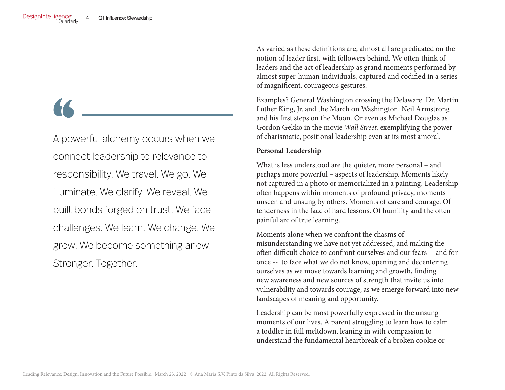A powerful alchemy occurs when we connect leadership to relevance to responsibility. We travel. We go. We illuminate. We clarify. We reveal. We built bonds forged on trust. We face challenges. We learn. We change. We grow. We become something anew. Stronger. Together.

As varied as these definitions are, almost all are predicated on the notion of leader first, with followers behind. We often think of leaders and the act of leadership as grand moments performed by almost super-human individuals, captured and codified in a series of magnificent, courageous gestures.

Examples? General Washington crossing the Delaware. Dr. Martin Luther King, Jr. and the March on Washington. Neil Armstrong and his first steps on the Moon. Or even as Michael Douglas as Gordon Gekko in the movie *Wall Street*, exemplifying the power of charismatic, positional leadership even at its most amoral.

### **Personal Leadership**

What is less understood are the quieter, more personal – and perhaps more powerful – aspects of leadership. Moments likely not captured in a photo or memorialized in a painting. Leadership often happens within moments of profound privacy, moments unseen and unsung by others. Moments of care and courage. Of tenderness in the face of hard lessons. Of humility and the often painful arc of true learning.

Moments alone when we confront the chasms of misunderstanding we have not yet addressed, and making the often difficult choice to confront ourselves and our fears -- and for once -- to face what we do not know, opening and decentering ourselves as we move towards learning and growth, finding new awareness and new sources of strength that invite us into vulnerability and towards courage, as we emerge forward into new landscapes of meaning and opportunity.

Leadership can be most powerfully expressed in the unsung moments of our lives. A parent struggling to learn how to calm a toddler in full meltdown, leaning in with compassion to understand the fundamental heartbreak of a broken cookie or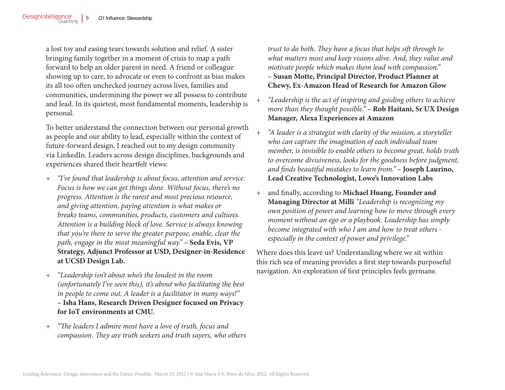a lost toy and easing tears towards solution and relief. A sister bringing family together in a moment of crisis to map a path forward to help an older parent in need. A friend or colleague showing up to care, to advocate or even to confront as bias makes its all too often unchecked journey across lives, families and communities, undermining the power we all possess to contribute and lead. In its quietest, most fundamental moments, leadership is personal.

To better understand the connection between our personal growth as people and our ability to lead, especially within the context of future-forward design, I reached out to my design community via LinkedIn. Leaders across design disciplines, backgrounds and experiences shared their heartfelt views:

- + *"I've found that leadership is about focus, attention and service. Focus is how we can get things done. Without focus, there's no progress. Attention is the rarest and most precious resource, and giving attention, paying attention is what makes or breaks teams, communities, products, customers and cultures. Attention is a building block of love. Service is always knowing that you're there to serve the greater purpose, enable, clear the path, engage in the most meaningful way."* **– Seda Evis, VP Strategy, Adjunct Professor at USD, Designer-in-Residence at UCSD Design Lab.**
- + *"Leadership isn't about who's the loudest in the room (unfortunately I've seen this), it's about who facilitating the best in people to come out. A leader is a facilitator in many ways!"* **– Isha Hans, Research Driven Designer focused on Privacy for IoT environments at CMU.**
- + *"The leaders I admire most have a love of truth, focus and compassion. They are truth seekers and truth sayers, who others*

*trust to do both. They have a focus that helps sift through to what matters most and keep visions alive. And, they value and motivate people which makes them lead with compassion."*  **– Susan Motte, Principal Director, Product Planner at Chewy, Ex-Amazon Head of Research for Amazon Glow**

- + *"Leadership is the act of inspiring and guiding others to achieve more than they thought possible."* **– Rob Haitani, Sr UX Design Manager, Alexa Experiences at Amazon**
- + *"A leader is a strategist with clarity of the mission, a storyteller who can capture the imagination of each individual team member, is invisible to enable others to become great, holds truth to overcome divisiveness, looks for the goodness before judgment, and finds beautiful mistakes to learn from."* **– Joseph Laurino, Lead Creative Technologist, Lowe's Innovation Labs**
- + and finally, according to **Michael Huang, Founder and Managing Director at Milli** *"Leadership is recognizing my own position of power and learning how to move through every moment without an ego or a playbook. Leadership has simply become integrated with who I am and how to treat others especially in the context of power and privilege."*

Where does this leave us? Understanding where we sit within this rich sea of meaning provides a first step towards purposeful navigation. An exploration of first principles feels germane.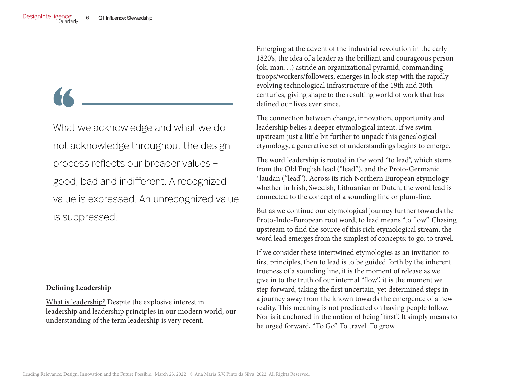What we acknowledge and what we do not acknowledge throughout the design process reflects our broader values – good, bad and indifferent. A recognized value is expressed. An unrecognized value is suppressed.

### **Defining Leadership**

What is leadership? Despite the explosive interest in leadership and leadership principles in our modern world, our understanding of the term leadership is very recent.

Emerging at the advent of the industrial revolution in the early 1820's, the idea of a leader as the brilliant and courageous person (ok, man…) astride an organizational pyramid, commanding troops/workers/followers, emerges in lock step with the rapidly evolving technological infrastructure of the 19th and 20th centuries, giving shape to the resulting world of work that has defined our lives ever since.

The connection between change, innovation, opportunity and leadership belies a deeper etymological intent. If we swim upstream just a little bit further to unpack this genealogical etymology, a generative set of understandings begins to emerge.

The word leadership is rooted in the word "to lead", which stems from the Old English lēad ("lead"), and the Proto-Germanic \*laudan ("lead"). Across its rich Northern European etymology – whether in Irish, Swedish, Lithuanian or Dutch, the word lead is connected to the concept of a sounding line or plum-line.

But as we continue our etymological journey further towards the Proto-Indo-European root word, to lead means "to flow". Chasing upstream to find the source of this rich etymological stream, the word lead emerges from the simplest of concepts: to go, to travel.

If we consider these intertwined etymologies as an invitation to first principles, then to lead is to be guided forth by the inherent trueness of a sounding line, it is the moment of release as we give in to the truth of our internal "flow", it is the moment we step forward, taking the first uncertain, yet determined steps in a journey away from the known towards the emergence of a new reality. This meaning is not predicated on having people follow. Nor is it anchored in the notion of being "first". It simply means to be urged forward, "To Go". To travel. To grow.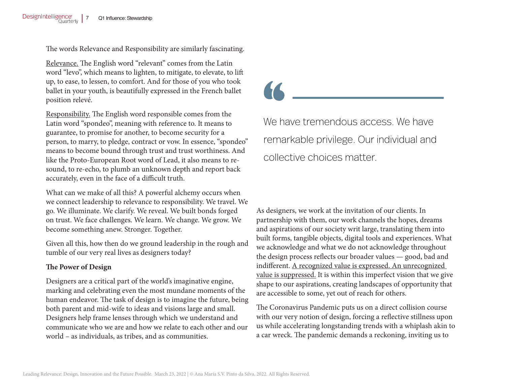The words Relevance and Responsibility are similarly fascinating.

Relevance. The English word "relevant" comes from the Latin word "levo", which means to lighten, to mitigate, to elevate, to lift up, to ease, to lessen, to comfort. And for those of you who took ballet in your youth, is beautifully expressed in the French ballet position relevé.

Responsibility. The English word responsible comes from the Latin word "spondeo", meaning with reference to. It means to guarantee, to promise for another, to become security for a person, to marry, to pledge, contract or vow. In essence, "spondeo" means to become bound through trust and trust worthiness. And like the Proto-European Root word of Lead, it also means to resound, to re-echo, to plumb an unknown depth and report back accurately, even in the face of a difficult truth.

What can we make of all this? A powerful alchemy occurs when we connect leadership to relevance to responsibility. We travel. We go. We illuminate. We clarify. We reveal. We built bonds forged on trust. We face challenges. We learn. We change. We grow. We become something anew. Stronger. Together.

Given all this, how then do we ground leadership in the rough and tumble of our very real lives as designers today?

### **The Power of Design**

Designers are a critical part of the world's imaginative engine, marking and celebrating even the most mundane moments of the human endeavor. The task of design is to imagine the future, being both parent and mid-wife to ideas and visions large and small. Designers help frame lenses through which we understand and communicate who we are and how we relate to each other and our world – as individuals, as tribes, and as communities.

We have tremendous access. We have remarkable privilege. Our individual and collective choices matter.

As designers, we work at the invitation of our clients. In partnership with them, our work channels the hopes, dreams and aspirations of our society writ large, translating them into built forms, tangible objects, digital tools and experiences. What we acknowledge and what we do not acknowledge throughout the design process reflects our broader values — good, bad and indifferent. A recognized value is expressed. An unrecognized value is suppressed. It is within this imperfect vision that we give shape to our aspirations, creating landscapes of opportunity that are accessible to some, yet out of reach for others.

The Coronavirus Pandemic puts us on a direct collision course with our very notion of design, forcing a reflective stillness upon us while accelerating longstanding trends with a whiplash akin to a car wreck. The pandemic demands a reckoning, inviting us to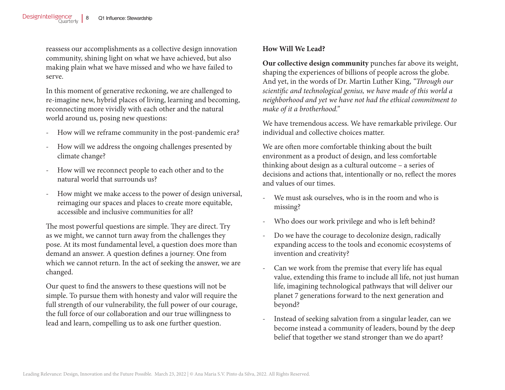reassess our accomplishments as a collective design innovation community, shining light on what we have achieved, but also making plain what we have missed and who we have failed to serve.

In this moment of generative reckoning, we are challenged to re-imagine new, hybrid places of living, learning and becoming, reconnecting more vividly with each other and the natural world around us, posing new questions:

- How will we reframe community in the post-pandemic era?
- How will we address the ongoing challenges presented by climate change?
- How will we reconnect people to each other and to the natural world that surrounds us?
- How might we make access to the power of design universal, reimaging our spaces and places to create more equitable, accessible and inclusive communities for all?

The most powerful questions are simple. They are direct. Try as we might, we cannot turn away from the challenges they pose. At its most fundamental level, a question does more than demand an answer. A question defines a journey. One from which we cannot return. In the act of seeking the answer, we are changed.

Our quest to find the answers to these questions will not be simple. To pursue them with honesty and valor will require the full strength of our vulnerability, the full power of our courage, the full force of our collaboration and our true willingness to lead and learn, compelling us to ask one further question.

### **How Will We Lead?**

**Our collective design community** punches far above its weight, shaping the experiences of billions of people across the globe. And yet, in the words of Dr. Martin Luther King, *"Through our scientific and technological genius, we have made of this world a neighborhood and yet we have not had the ethical commitment to make of it a brotherhood."*

We have tremendous access. We have remarkable privilege. Our individual and collective choices matter.

We are often more comfortable thinking about the built environment as a product of design, and less comfortable thinking about design as a cultural outcome – a series of decisions and actions that, intentionally or no, reflect the mores and values of our times.

- We must ask ourselves, who is in the room and who is missing?
- Who does our work privilege and who is left behind?
- Do we have the courage to decolonize design, radically expanding access to the tools and economic ecosystems of invention and creativity?
- Can we work from the premise that every life has equal value, extending this frame to include all life, not just human life, imagining technological pathways that will deliver our planet 7 generations forward to the next generation and beyond?
- Instead of seeking salvation from a singular leader, can we become instead a community of leaders, bound by the deep belief that together we stand stronger than we do apart?